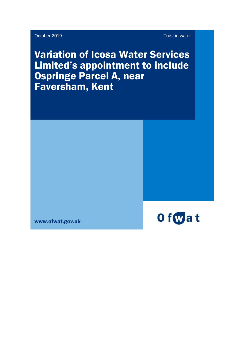October 2019 Trust in water

Variation of Icosa Water Services Limited's appointment to include Ospringe Parcel A, near Faversham, Kent



www.ofwat.gov.uk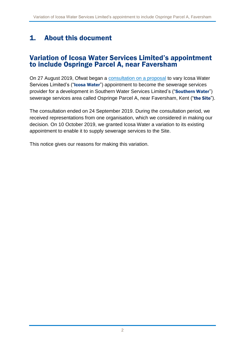## 1. About this document

#### Variation of Icosa Water Services Limited's appointment to include Ospringe Parcel A, near Faversham

On 27 August 2019, Ofwat began a [consultation on a proposal](https://www.ofwat.gov.uk/consultation/proposal-to-grant-a-variation-of-appointment-to-icosa-water-services-limited-to-enable-it-to-provide-sewerage-services-to-a-site-called-ospringe-parcel-a-near-faversham-kent/) to vary Icosa Water Services Limited's ("Icosa Water") appointment to become the sewerage services provider for a development in Southern Water Services Limited's ("Southern Water") sewerage services area called Ospringe Parcel A, near Faversham, Kent ("the Site").

The consultation ended on 24 September 2019. During the consultation period, we received representations from one organisation, which we considered in making our decision. On 10 October 2019, we granted Icosa Water a variation to its existing appointment to enable it to supply sewerage services to the Site.

This notice gives our reasons for making this variation.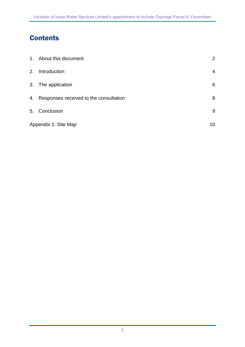# **Contents**

|                      | 1. About this document                    | $\overline{2}$ |
|----------------------|-------------------------------------------|----------------|
| 2.                   | Introduction                              | $\overline{4}$ |
|                      | 3. The application                        | 6              |
|                      | 4. Responses received to the consultation | 8              |
|                      | 5. Conclusion                             | 9              |
| Appendix 1: Site Map |                                           | 10             |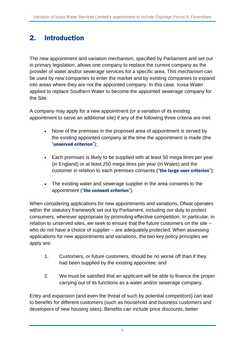## 2. Introduction

The new appointment and variation mechanism, specified by Parliament and set out in primary legislation, allows one company to replace the current company as the provider of water and/or sewerage services for a specific area. This mechanism can be used by new companies to enter the market and by existing companies to expand into areas where they are not the appointed company. In this case, Icosa Water applied to replace Southern Water to become the appointed sewerage company for the Site.

A company may apply for a new appointment (or a variation of its existing appointment to serve an additional site) if any of the following three criteria are met:

- None of the premises in the proposed area of appointment is served by the existing appointed company at the time the appointment is made (the "unserved criterion");
- Each premises is likely to be supplied with at least 50 mega litres per year (in England) or at least 250 mega litres per year (in Wales) and the customer in relation to each premises consents ("the large user criterion");
- The existing water and sewerage supplier in the area consents to the appointment ("the consent criterion").

When considering applications for new appointments and variations, Ofwat operates within the statutory framework set out by Parliament, including our duty to protect consumers, wherever appropriate by promoting effective competition. In particular, in relation to unserved sites, we seek to ensure that the future customers on the site – who do not have a choice of supplier – are adequately protected. When assessing applications for new appointments and variations, the two key policy principles we apply are:

- 1. Customers, or future customers, should be no worse off than if they had been supplied by the existing appointee; and
- 2. We must be satisfied that an applicant will be able to finance the proper carrying out of its functions as a water and/or sewerage company.

Entry and expansion (and even the threat of such by potential competitors) can lead to benefits for different customers (such as household and business customers and developers of new housing sites). Benefits can include price discounts, better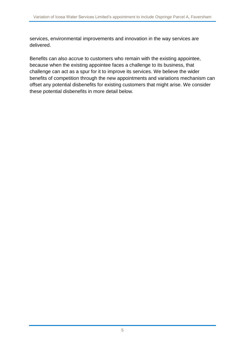services, environmental improvements and innovation in the way services are delivered.

Benefits can also accrue to customers who remain with the existing appointee, because when the existing appointee faces a challenge to its business, that challenge can act as a spur for it to improve its services. We believe the wider benefits of competition through the new appointments and variations mechanism can offset any potential disbenefits for existing customers that might arise. We consider these potential disbenefits in more detail below.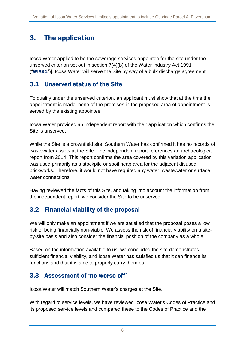## 3. The application

Icosa Water applied to be the sewerage services appointee for the site under the unserved criterion set out in section 7(4)(b) of the Water Industry Act 1991 ("WIA91")]. Icosa Water will serve the Site by way of a bulk discharge agreement.

#### 3.1 Unserved status of the Site

To qualify under the unserved criterion, an applicant must show that at the time the appointment is made, none of the premises in the proposed area of appointment is served by the existing appointee.

Icosa Water provided an independent report with their application which confirms the Site is unserved.

While the Site is a brownfield site, Southern Water has confirmed it has no records of wastewater assets at the Site. The independent report references an archaeological report from 2014. This report confirms the area covered by this variation application was used primarily as a stockpile or spoil heap area for the adjacent disused brickworks. Therefore, it would not have required any water, wastewater or surface water connections.

Having reviewed the facts of this Site, and taking into account the information from the independent report, we consider the Site to be unserved.

## 3.2 Financial viability of the proposal

We will only make an appointment if we are satisfied that the proposal poses a low risk of being financially non-viable. We assess the risk of financial viability on a siteby-site basis and also consider the financial position of the company as a whole.

Based on the information available to us, we concluded the site demonstrates sufficient financial viability, and Icosa Water has satisfied us that it can finance its functions and that it is able to properly carry them out.

#### 3.3 Assessment of 'no worse off'

Icosa Water will match Southern Water's charges at the Site.

With regard to service levels, we have reviewed Icosa Water's Codes of Practice and its proposed service levels and compared these to the Codes of Practice and the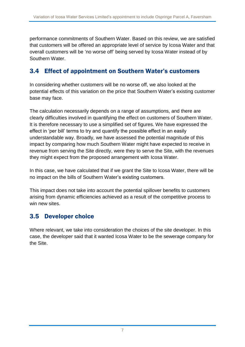performance commitments of Southern Water. Based on this review, we are satisfied that customers will be offered an appropriate level of service by Icosa Water and that overall customers will be 'no worse off' being served by Icosa Water instead of by Southern Water.

### 3.4 Effect of appointment on Southern Water's customers

In considering whether customers will be no worse off, we also looked at the potential effects of this variation on the price that Southern Water's existing customer base may face.

The calculation necessarily depends on a range of assumptions, and there are clearly difficulties involved in quantifying the effect on customers of Southern Water. It is therefore necessary to use a simplified set of figures. We have expressed the effect in 'per bill' terms to try and quantify the possible effect in an easily understandable way. Broadly, we have assessed the potential magnitude of this impact by comparing how much Southern Water might have expected to receive in revenue from serving the Site directly, were they to serve the Site, with the revenues they might expect from the proposed arrangement with Icosa Water.

In this case, we have calculated that if we grant the Site to Icosa Water, there will be no impact on the bills of Southern Water's existing customers.

This impact does not take into account the potential spillover benefits to customers arising from dynamic efficiencies achieved as a result of the competitive process to win new sites.

#### 3.5 Developer choice

Where relevant, we take into consideration the choices of the site developer. In this case, the developer said that it wanted Icosa Water to be the sewerage company for the Site.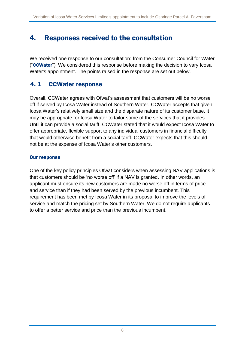## 4. Responses received to the consultation

We received one response to our consultation: from the Consumer Council for Water ("CCWater"). We considered this response before making the decision to vary Icosa Water's appointment. The points raised in the response are set out below.

### 4. 1 CCWater response

Overall, CCWater agrees with Ofwat's assessment that customers will be no worse off if served by Icosa Water instead of Southern Water. CCWater accepts that given Icosa Water's relatively small size and the disparate nature of its customer base, it may be appropriate for Icosa Water to tailor some of the services that it provides. Until it can provide a social tariff, CCWater stated that it would expect Icosa Water to offer appropriate, flexible support to any individual customers in financial difficulty that would otherwise benefit from a social tariff. CCWater expects that this should not be at the expense of Icosa Water's other customers.

#### Our response

One of the key policy principles Ofwat considers when assessing NAV applications is that customers should be 'no worse off' if a NAV is granted. In other words, an applicant must ensure its new customers are made no worse off in terms of price and service than if they had been served by the previous incumbent. This requirement has been met by Icosa Water in its proposal to improve the levels of service and match the pricing set by Southern Water. We do not require applicants to offer a better service and price than the previous incumbent.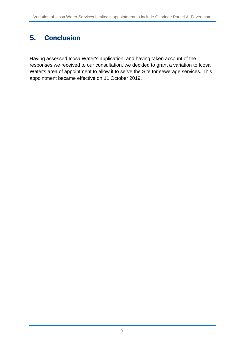## 5. Conclusion

Having assessed Icosa Water's application, and having taken account of the responses we received to our consultation, we decided to grant a variation to Icosa Water's area of appointment to allow it to serve the Site for sewerage services. This appointment became effective on 11 October 2019.